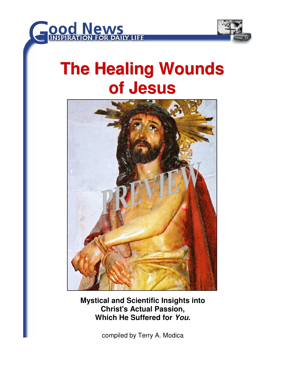



# **The Healing Wounds of Jesus**



**Mystical and Scientific Insights into Christ's Actual Passion, Which He Suffered for You.** 

compiled by Terry A. Modica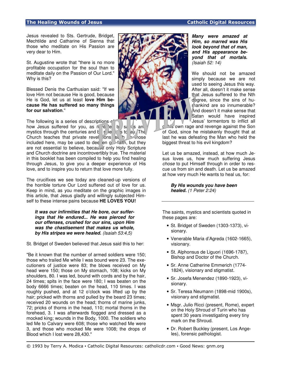Jesus revealed to Sts. Gertrude, Bridget, Mechtilde and Catharine of Sienna that those who meditate on His Passion are very dear to Him.

St. Augustine wrote that "there is no more profitable occupation for the soul than to meditate daily on the Passion of Our Lord." Why is this?

Blessed Denis the Carthusian said: "If we love Him not because He is good, because He is God, let us at least **love Him because He has suffered so many things for our salvation**."

The following is a series of descriptions how Jesus suffered for you, as  $r_{\rm e}$  e e b saints and mystics through the centuries and  $\frac{1}{5}$  scientists to ay. The Church teaches that private revel  $\lim_{n \to \infty} s_n$  to a those included here, may be used to dee en  $\circ$  faith, but they are not essential to believe, because only Holy Scripture and Church doctrine are incontrovertibly true. The material in this booklet has been compiled to help you find healing through Jesus, to give you a deeper experience of His love, and to inspire you to return that love more fully.

The crucifixes we see today are cleaned-up versions of the horrible torture Our Lord suffered out of love for us. Keep in mind, as you meditate on the graphic images in this article, that Jesus gladly and willingly subjected Himself to these intense pains because **HE LOVES YOU!**

**It was our infirmities that He bore, our sufferings that He endured... He was pierced for our offenses, crushed for our sins, upon Him was the chastisement that makes us whole, by His stripes we were healed.** (Isaiah 53:4,5)

St. Bridget of Sweden believed that Jesus said this to her:

"Be it known that the number of armed soldiers were 150; those who trailed Me while I was bound were 23. The executioners of justice were 83; the blows received on My head were 150; those on My stomach, 108; kicks on My shoulders, 80. I was led, bound with cords and by the hair, 24 times; spits in the face were 180; I was beaten on the body 6666 times; beaten on the head, 110 times. I was roughly pushed, and at 12 o'clock was lifted up by the hair; pricked with thorns and pulled by the beard 23 times; received 20 wounds on the head; thorns of marine junks, 72; pricks of thorns in the head, 110; mortal thorns in the forehead, 3. I was afterwards flogged and dressed as a mocked king; wounds in the Body, 1000. The soldiers who led Me to Calvary were 608; those who watched Me were 3, and those who mocked Me were 1008; the drops of Blood which I lost were 28,430."



**Many were amazed at Him, so marred was His look beyond that of man, and His appearance beyond that of mortals.**  (Isaiah 52: 14)

We should not be amazed simply because we are not used to seeing Jesus this way. After all, doesn't it make sense that Jesus suffered to the Nth degree, since the sins of huthankind are so innumerable? And doesn't it make sense that Satan would have inspired Jesus' tormentors to inflict all

own rage and revenge against the Son of God, since he mistakenly thought that at last he was defeating the Man who held the biggest threat to his evil kingdom?

Let us be amazed, instead, at how much Jesus loves us, how much suffering Jesus chose to put Himself through in order to rescue us from sin and death. Let us be amazed at how very much He wants to heal us, for:

**By His wounds you have been healed.** (1 Peter 2:24)

The saints, mystics and scientists quoted in these pages are:

- St. Bridget of Sweden (1303-1373), visionary.
- Venerable Maria d'Agreda (1602-1665), visionary.
- St. Alphonsus de Liguori (1696-1787), Bishop and Doctor of the Church.
- Sr. Anne Catherine Emmerich (1774- 1824), visionary and stigmatist.
- Sr. Josefa Menendez (1890-1923), visionary.
- Sr. Teresa Neumann (1898-mid 1900s), visionary and stigmatist.
- Msgr. Julio Ricci (present, Rome), expert on the Holy Shroud of Turin who has spent 30 years investigating every tiny mark on the Shroud.
- Dr. Robert Buckley (present, Los Angeles), forensic pathologist.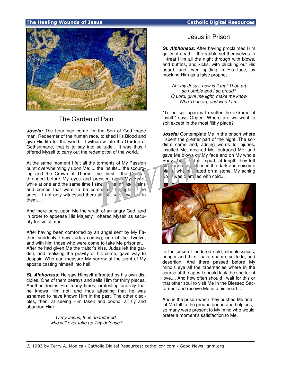## The Healing Wounds of Jesus **Catholic Digital Resources** Catholic Digital Resources



# The Garden of Pain

**Josefa:** The hour had come for the Son of God made man, Redeemer of the human race, to shed His Blood and give His life for the world... I withdrew into the Garden of Gethsemane, that is to say into solitude... It was thus I offered Myself to carry out the redemption of the world...

At the same moment I felt all the torments of My Passion burst overwhelmingly upon Me: ... the insults... the scourging and the Crown of Thorns, the thirst... the  $Cr_{\infty}$ s... thronged before My eyes and pressed upon My Heart, while at one and the same time I saw  $\mathbb{I}$  in the offense sins and crimes that were to be committed to define the same that  $\frac{1}{2}$  the same crimes that were to be committed to  $\frac{1}{2}$ ages... I not only witnessed them all, but was local in them....

And there burst upon Me the wrath of an angry God, and in order to appease His Majesty I offered Myself as security for sinful man....

After having been comforted by an angel sent by My Father, suddenly I saw Judas coming, one of the Twelve, and with him those who were come to take Me prisoner.... After he had given Me the traitor's kiss, Judas left the garden, and realizing the gravity of his crime, gave way to despair. Who can measure My sorrow at the sight of My apostle casting himself into hell!

**St. Alphonsus:** He saw Himself affronted by his own disciples. One of them betrays and sells Him for thirty pieces. Another denies Him many times, protesting publicly that he knows Him not; and thus attesting that he was ashamed to have known Him in the past. The other disciples, then, at seeing Him taken and bound, all fly and abandon Him.

> O my Jesus, thus abandoned, who will ever take up Thy defense?

## Jesus in Prison

**St. Alphonsus:** After having proclaimed Him guilty of death... the rabble set themselves to ill-treat Him all the night through with blows, and buffets, and kicks, with plucking out His beard, and even spitting in His face, by mocking Him as a false prophet.

Ah, my Jesus, how is it that Thou art so humble and I so proud? O Lord, give me light, make me know Who Thou art, and who I am.

"To be spit upon is to suffer the extreme of insult," says Origen. Where are we wont to spit except in the most filthy place?

**Josefa:** Contemplate Me in the prison where I spent the greater part of the night. The soldiers came and, adding words to injuries, insulted Me, mocked Me, outraged Me, and gave Me blows on My face and on My whole Body. Timed  $\alpha$  their sport, at length they left  $\sqrt{a}$  bound  $\sqrt{a}$  alone in the dark and noisome place, where,  $\frac{1}{2}$  where,  $\frac{1}{2}$  ated on a stone, My aching  $\overline{B}$ o  $\overline{C}$  was  $\overline{C}$  am bed with cold....



In the prison I endured cold, sleeplessness, hunger and thirst, pain, shame, solitude, and desertion. And there passed before My mind's eye all the tabernacles where in the course of the ages I should lack the shelter of love.... And how often should I wait for this or that other soul to visit Me in the Blessed Sacrament and receive Me into his heart....

And in the prison when they pushed Me and let Me fall to the ground bound and helpless, so many were present to My mind who would prefer a moment's satisfaction to Me.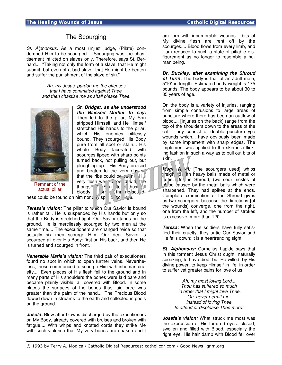## The Scourging

St. Alphonsus: As a most unjust judge, (Pilate) condemned Him to be scourged.... Scourging was the chastisement inflicted on slaves only. Therefore, says St. Bernard.... "Taking not only the form of a slave, that He might submit, but even of a bad slave, that He might be beaten and suffer the punishment of the slave of sin."

> Ah, my Jesus, pardon me the offenses that I have committed against Thee, and then chastise me as shall please Thee.



**St. Bridget, as she understood the Blessed Mother to say:** Then led to the pillar, My Son stripped Himself, and He Himself stretched His hands to the pillar, which His enemies pitilessly bound. They scourged His Body pure from all spot or stain... His whole Body lacerated with scourges tipped with sharp points turned back, not pulling out, but ploughing up... His Body bruised and beaten to the very ribs  $s_0$ that the ribs could be  $\sim$  n. His very flesh was ju ow d with the thongs.  $\pi$  S n to thus all bloody, U /rr K that no sound-

ness could be found on him nor any spot to scould be found on him nor any spot to score

**Teresa's vision:** The pillar to which Our Savior is bound is rather tall. He is suspended by His hands but only so that the Body is stretched tight. Our Savior stands on the ground. He is mercilessly scourged by two men at the same time.... The executioners are changed twice so that actually six men scourge Him. Our dear Savior is scourged all over His Body; first on His back, and then He is turned and scourged in front.

**Venerable Maria's vision:** The third pair of executioners found no spot in which to open further veins. Nevertheless, these commenced to scourge Him with inhuman cruelty.... Even pieces of His flesh fell to the ground and in many parts of His shoulders the bones were laid bare and became plainly visible, all covered with Blood. In some places the surfaces of the bones thus laid bare was greater than the palm of the hand.... The Precious Blood flowed down in streams to the earth and collected in pools on the ground.

*Josefa:* Blow after blow is discharged by the executioners on My Body, already covered with bruises and broken with fatigue.... With whips and knotted cords they strike Me with such violence that My very bones are shaken and I

am torn with innumerable wounds... bits of My divine flesh are rent off by the scourges.... Blood flows from every limb, and I am reduced to such a state of pitiable disfigurement as no longer to resemble a human being.

**Dr. Buckley, after examining the Shroud of Turin:** The body is that of an adult male, 5'10" in length. Estimated body weight is 175 pounds. The body appears to be about 30 to 35 years of age.

On the body is a variety of injuries, ranging from simple contusions to large areas of puncture where there has been an outflow of blood.... [Injuries on the back] range from the top of the shoulders down to the areas of the calf. They consist of double puncture-type wounds which... have obviously been made by some implement with sharp edges. The implement was applied to the skin in a flicking fashion in such a way as to pull out bits of skin.

**Msg.** F. et: [The scourgers used] whips  $\sqrt{e^{i}}$  with heavy balls made of metal or bone. On the Shroud, (we see) trickles of b<sup>od</sup> caused by the metal balls which were sharpened. They had spikes at the ends. Complete examination of the Shroud gives us two scourgers, because the directions [of the wounds] converge, one from the right, one from the left, and the number of strokes is excessive, more than 120.

**Teresa:** When the soldiers have fully satisfied their cruelty, they untie Our Savior and He falls down; it is a heartrending sight.

**St. Alphonsus:** Cornelius Lapide says that in this torment Jesus Christ ought, naturally speaking, to have died; but He willed, by His divine power, to keep Himself in life, in order to suffer yet greater pains for love of us.

> Ah, my most loving Lord... Thou has suffered so much in order that I might love Thee. Oh, never permit me, instead of loving Thee, to offend or displease Thee more!

**Josefa's vision:** What struck me most was the expression of His tortured eyes...closed, swollen and filled with Blood, especially the right eye. His hair damp with Blood fell over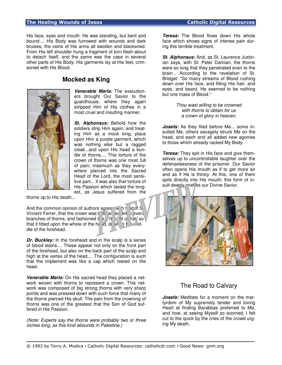#### The Healing Wounds of Jesus Catholic Digital Resources

His face, eyes and mouth. He was standing, but bent and bound.... His Body was furrowed with wounds and dark bruises, the veins of His arms all swollen and blackened. From His left shoulder hung a fragment of torn flesh about to detach itself, and the same was the case in several other parts of His Body. His garments lay at His feet, crimsoned with His Blood.

# **Mocked as King**



**Venerable Maria:** The executioners brought Our Savior to the guardhouse, where they again stripped Him of His clothes in a most cruel and insulting manner.

**St. Alphonsus:** Behold how the soldiers strip Him again; and treating Him as a mock king, place upon Him a purple garment, which was nothing else but a ragged cloak...and upon His head a bundle of thorns.... This torture of the crown of thorns was one most full of pain; inasmuch as they everywhere pierced into the Sacred Head of the Lord, the most sensitive part... it was also that torture of His Passion which lasted the longest, as Jesus suffered from the

thorns up to His death...

And the common opinion of authors agrees with that of S Vincent Ferrer, that the crown was  $\overline{p}$  eq with several branches of thorns, and fashioned  $\frac{1}{2}$  a helmet or hat, so that it fitted upon the whole of the head, down by the middle of the forehead.

**Dr. Buckley:** In the forehead and in the scalp is a series of blood stains.... These appear not only on the front part of the forehead, but also on the back part of the scalp and high at the vertex of the head.... The configuration is such that the implement was like a cap which rested on the head.

**Venerable Maria:** On His sacred head they placed a network woven with thorns to represent a crown. This network was composed of big strong thorns with very sharp points and was pressed down with such force that many of the thorns pierced His skull. The pain from the crowning of thorns was one of the greatest that the Son of God suffered in His Passion.

(Note: Experts say the thorns were probably two or three inches long, as this kind abounds in Palestine.)

**Teresa:** The Blood flows down His whole face which shows signs of intense pain during this terrible treatment.

**St. Alphonsus:** And, as St. Laurence Justinian says, with St. Peter Damian, the thorns were so long that they penetrated even to the brain... According to the revelation of St. Bridget: "So many streams of Blood rushing down over His face, and filling His hair, and eyes, and beard, He seemed to be nothing but one mass of Blood."

> Thou wast willing to be crowned with thorns to obtain for us a crown of glory in heaven.

**Josefa:** As they filed before Me... some insulted Me, others savagely struck Me on the head, and each and all added new agonies to those which already racked My Body.

**Teresa:** They spit in His face and give themselves up to uncontrollable laughter over the defenselessness of the prisoner. Our Savior often opens His mouth as if to get more air and as if He is thirsty. At this, one of them spits directly into His mouth; this form of insult deeply mieves our Divine Savior.



## The Road to Calvary

**Josefa:** Meditate for a moment on the martyrdom of My supremely tender and loving Heart at finding Barabbas preferred to Me, and how, at seeing Myself so scorned, I felt cut to the quick by the cries of the crowd urging My death.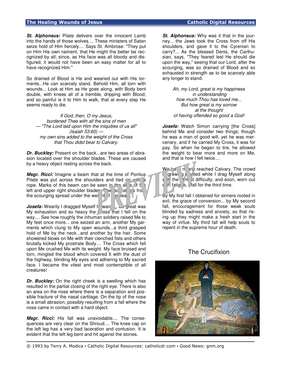**St. Alphonsus:** Pilate delivers over the innocent Lamb into the hands of those wolves.... These ministers of Satan seize hold of Him fiercely.... Says St. Ambrose: "They put on Him His own raiment, that He might the better be recognized by all; since, as His face was all bloody and disfigured, it would not have been an easy matter for all to have recognized Him."

So drained of Blood is He and wearied out with His torments...He can scarcely stand. Behold Him, all torn with wounds... Look at Him as He goes along, with Body bent double, with knees all of a tremble, dripping with Blood; and so painful is it to Him to walk, that at every step He seems ready to die.

If God, then, O my Jesus, burdened Thee with all the sins of men — "The Lord laid upon Him the iniquities of us all" (Isaiah 53:60) my own sins added to the weight of the Cross that Thou didst bear to Calvary.

**Dr. Buckley:** Present on the back...are two areas of abrasion located over the shoulder blades. These are caused by a heavy object resting across the back.

**Msgr. Ricci:** Imagine a beam that at the time of Pontius Pilate was put across the shoulders and tied on with a rope. Marks of this beam can be seen in the an and f left and upper right shoulder blades. The lacerative from the scourging spread under the weight of the beam.

**Josefa:** Wearily I dragged Myself forward... So great was My exhaustion and so heavy the  $\Box$  oss that I fell on the way.... See how roughly the inhuman soldiery raised Me to My feet once more... one seized an arm, another My garments which clung to My open wounds...a third grasped hold of Me by the neck...and another by the hair. Some showered blows on Me with their clenched fists and others brutally kicked My prostrate Body.... The Cross which fell upon Me crushed Me with its weight. My face bruised and torn, mingled the blood which covered It with the dust of the highway, blinding My eyes and adhering to My sacred face. I became the vilest and most contemptible of all creatures!

**Dr. Buckley:** On the right cheek is a swelling which has resulted in the partial closing of the right eye. There is also an area on the nose where there is a separation and possible fracture of the nasal cartilage. On the tip of the nose is a small abrasion, possibly resulting from a fall where the nose came in contact with a hard object.

**Msgr. Ricci:** His fall was unavoidable.... The consequences are very clear on the Shroud.... The knee cap on the left leg has a very bad laceration and contusion. It is evident that the left leg bent and hit against the stones.

**St. Alphonsus:** Why was it that in the journey... the Jews took the Cross from off His shoulders, and gave it to the Cyrenian to carry?... As the blessed Denis, the Carthusian, says, "They feared lest He should die upon the way," seeing that our Lord, after the scourging, was so drained of Blood and so exhausted in strength as to be scarcely able any longer to stand.

Ah, my Lord, great is my happiness in understanding how much Thou has loved me... But how great is my sorrow at the thought of having offended so good a God!

**Josefa:** Watch Simon carrying [the Cross] behind Me and consider two things; though he was a man of good will, yet he was mercenary, and if he carried My Cross, it was for pay. So when he began to tire, he allowed the weight to bear more and more on Me, and that is how I fell twice....

 $W$ <sup>-</sup> a nearly reached Calvary. The crowd i growing is gited while I drag Myself along  $\mathbb{W}$  the  $\mathbb{W}$  it difficulty, and soon, worn out  $\frac{1}{\pi}$  if fatig e,  $\frac{1}{\pi}$  fall for the third time.

By My first fall I obtained for sinners rooted in evil, the grace of conversion... by My second fall, encouragement for those weak souls blinded by sadness and anxiety, so that rising up they might make a fresh start in the way of virtue. My third fall will help souls to repent in the supreme hour of death.

# The Crucifixion

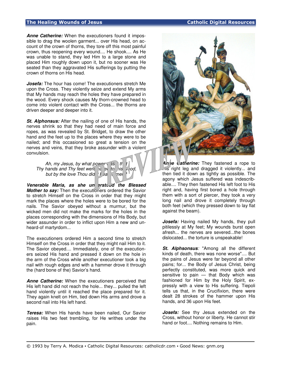## The Healing Wounds of Jesus **Catholic Digital Resources**

**Anne Catherine:** When the executioners found it impossible to drag the woolen garment... over His head, on account of the crown of thorns, they tore off this most painful crown, thus reopening every wound.... He shook.... As He was unable to stand, they led Him to a large stone and placed Him roughly down upon it, but no sooner was He seated than they aggravated His sufferings by putting the crown of thorns on His head.

*Josefa:* The hour has come! The executioners stretch Me upon the Cross. They violently seize and extend My arms that My hands may reach the holes they have prepared in the wood. Every shock causes My thorn-crowned head to come into violent contact with the Cross... the thorns are driven deeper and deeper into it.

**St. Alphonsus:** After the nailing of one of His hands, the nerves shrink so that they had need of main force and ropes, as was revealed by St. Bridget, to draw the other hand and the feet up to the places where they were to be nailed; and this occasioned so great a tension on the nerves and veins, that they broke assunder with a violent convulsion.

Ah, my Jesus, by what power as it Thy hands and Thy feet were  $\overline{e}$  and to his wood, but by the love Thou did thear to men

Venerable Maria, as she un erstood the Blessed **Mother to say:** Then the executioners ordered the Savior to stretch Himself on the Cross in order that they might mark the places where the holes were to be bored for the nails. The Savior obeyed without a murmur, but the wicked men did not make the marks for the holes in the places corresponding with the dimensions of His Body, but wider assunder in order to inflict upon Him a new and unheard-of martyrdom...

The executioners ordered Him a second time to stretch Himself on the Cross in order that they might nail Him to it. The Savior obeyed.... Immediately, one of the executioners seized His hand and pressed it down on the hole in the arm of the Cross while another executioner took a big nail with rough edges and with a hammer drove it through the (hard bone of the) Savior's hand.

**Anne Catherine:** When the executioners perceived that His left hand did not reach the hole... they... pulled the left hand violently until it reached the place prepared for it. They again knelt on Him, tied down His arms and drove a second nail into His left hand.

**Teresa:** When His hands have been nailed, Our Savior raises His two feet trembling, for He writhes under the pain.



**An** ie Catherine: They fastened a rope to  $\overline{\text{MS}}$  right leg and dragged it violently... and then tied it down as tightly as possible. The agony which Jesus suffered was indescribable.... They then fastened His left foot to His right and, having first bored a hole through them with a sort of piercer, they took a very long nail and drove it completely through both feet (which they pressed down to lay flat against the beam).

**Josefa:** Having nailed My hands, they pull pitilessly at My feet; My wounds burst open afresh... the nerves are severed...the bones dislocated... the torture is unspeakable!

**St. Alphsonsus**: "Among all the different kinds of death, there was none worse".... But the pains of Jesus were far beyond all other pains; for... the Body of Jesus Christ, being perfectly constituted, was more quick and sensitive to pain — that Body which was fashioned for Him by the Holy Spirit, expressly with a view to His suffering. Tiepoli tells us that, in the Crucifixion, there were dealt 28 strokes of the hammer upon His hands, and 36 upon His feet.

**Josefa:** See thy Jesus extended on the Cross, without honor or liberty. He cannot stir hand or foot.... Nothing remains to Him.